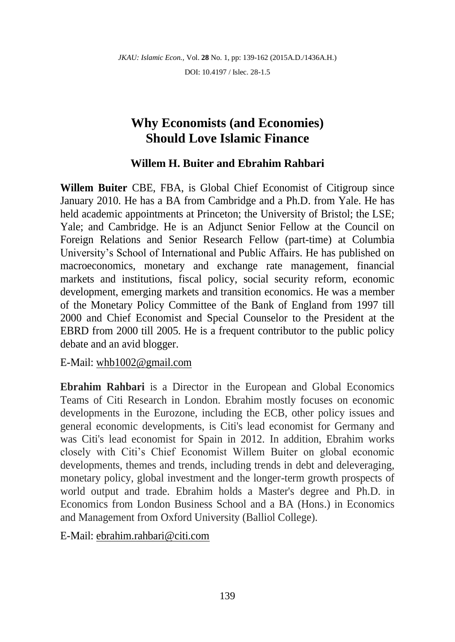DOI: 10.4197 / Islec. 28-1.5

# **Why Economists (and Economies) Should Love Islamic Finance**

# **Willem H. Buiter and Ebrahim Rahbari**

**Willem Buiter** CBE, FBA, is Global Chief Economist of Citigroup since January 2010. He has a BA from Cambridge and a Ph.D. from Yale. He has held academic appointments at Princeton; the University of Bristol; the LSE; Yale; and Cambridge. He is an Adjunct Senior Fellow at the Council on Foreign Relations and Senior Research Fellow (part-time) at Columbia University's School of International and Public Affairs. He has published on macroeconomics, monetary and exchange rate management, financial markets and institutions, fiscal policy, social security reform, economic development, emerging markets and transition economics. He was a member of the Monetary Policy Committee of the Bank of England from 1997 till 2000 and Chief Economist and Special Counselor to the President at the EBRD from 2000 till 2005. He is a frequent contributor to the public policy debate and an avid blogger.

E-Mail: [whb1002@gmail.com](mailto:whb1002@gmail.com)

**Ebrahim Rahbari** is a Director in the European and Global Economics Teams of Citi Research in London. Ebrahim mostly focuses on economic developments in the Eurozone, including the ECB, other policy issues and general economic developments, is Citi's lead economist for Germany and was Citi's lead economist for Spain in 2012. In addition, Ebrahim works closely with Citi's Chief Economist Willem Buiter on global economic developments, themes and trends, including trends in debt and deleveraging, monetary policy, global investment and the longer-term growth prospects of world output and trade. Ebrahim holds a Master's degree and Ph.D. in Economics from London Business School and a BA (Hons.) in Economics and Management from Oxford University (Balliol College).

E-Mail: [ebrahim.rahbari@citi.com](mailto:ebrahim.rahbari@citi.com)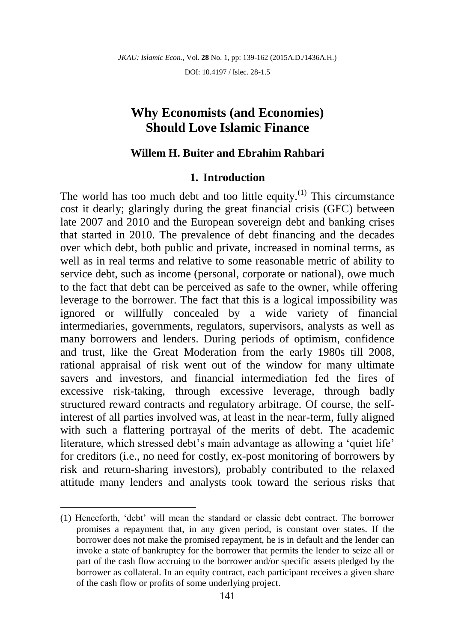DOI: 10.4197 / Islec. 28-1.5

# **Why Economists (and Economies) Should Love Islamic Finance**

## **Willem H. Buiter and Ebrahim Rahbari**

### **1. Introduction**

The world has too much debt and too little equity.<sup> $(1)$ </sup> This circumstance cost it dearly; glaringly during the great financial crisis (GFC) between late 2007 and 2010 and the European sovereign debt and banking crises that started in 2010. The prevalence of debt financing and the decades over which debt, both public and private, increased in nominal terms, as well as in real terms and relative to some reasonable metric of ability to service debt, such as income (personal, corporate or national), owe much to the fact that debt can be perceived as safe to the owner, while offering leverage to the borrower. The fact that this is a logical impossibility was ignored or willfully concealed by a wide variety of financial intermediaries, governments, regulators, supervisors, analysts as well as many borrowers and lenders. During periods of optimism, confidence and trust, like the Great Moderation from the early 1980s till 2008, rational appraisal of risk went out of the window for many ultimate savers and investors, and financial intermediation fed the fires of excessive risk-taking, through excessive leverage, through badly structured reward contracts and regulatory arbitrage. Of course, the selfinterest of all parties involved was, at least in the near-term, fully aligned with such a flattering portrayal of the merits of debt. The academic literature, which stressed debt's main advantage as allowing a 'quiet life' for creditors (i.e., no need for costly, ex-post monitoring of borrowers by risk and return-sharing investors), probably contributed to the relaxed attitude many lenders and analysts took toward the serious risks that

<sup>(1)</sup> Henceforth, 'debt' will mean the standard or classic debt contract. The borrower promises a repayment that, in any given period, is constant over states. If the borrower does not make the promised repayment, he is in default and the lender can invoke a state of bankruptcy for the borrower that permits the lender to seize all or part of the cash flow accruing to the borrower and/or specific assets pledged by the borrower as collateral. In an equity contract, each participant receives a given share of the cash flow or profits of some underlying project.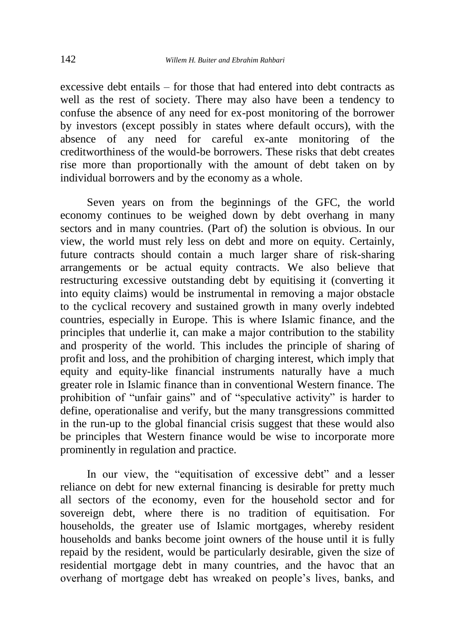excessive debt entails – for those that had entered into debt contracts as well as the rest of society. There may also have been a tendency to confuse the absence of any need for ex-post monitoring of the borrower by investors (except possibly in states where default occurs), with the absence of any need for careful ex-ante monitoring of the creditworthiness of the would-be borrowers. These risks that debt creates rise more than proportionally with the amount of debt taken on by individual borrowers and by the economy as a whole.

Seven years on from the beginnings of the GFC, the world economy continues to be weighed down by debt overhang in many sectors and in many countries. (Part of) the solution is obvious. In our view, the world must rely less on debt and more on equity. Certainly, future contracts should contain a much larger share of risk-sharing arrangements or be actual equity contracts. We also believe that restructuring excessive outstanding debt by equitising it (converting it into equity claims) would be instrumental in removing a major obstacle to the cyclical recovery and sustained growth in many overly indebted countries, especially in Europe. This is where Islamic finance, and the principles that underlie it, can make a major contribution to the stability and prosperity of the world. This includes the principle of sharing of profit and loss, and the prohibition of charging interest, which imply that equity and equity-like financial instruments naturally have a much greater role in Islamic finance than in conventional Western finance. The prohibition of "unfair gains" and of "speculative activity" is harder to define, operationalise and verify, but the many transgressions committed in the run-up to the global financial crisis suggest that these would also be principles that Western finance would be wise to incorporate more prominently in regulation and practice.

In our view, the "equitisation of excessive debt" and a lesser reliance on debt for new external financing is desirable for pretty much all sectors of the economy, even for the household sector and for sovereign debt, where there is no tradition of equitisation. For households, the greater use of Islamic mortgages, whereby resident households and banks become joint owners of the house until it is fully repaid by the resident, would be particularly desirable, given the size of residential mortgage debt in many countries, and the havoc that an overhang of mortgage debt has wreaked on people's lives, banks, and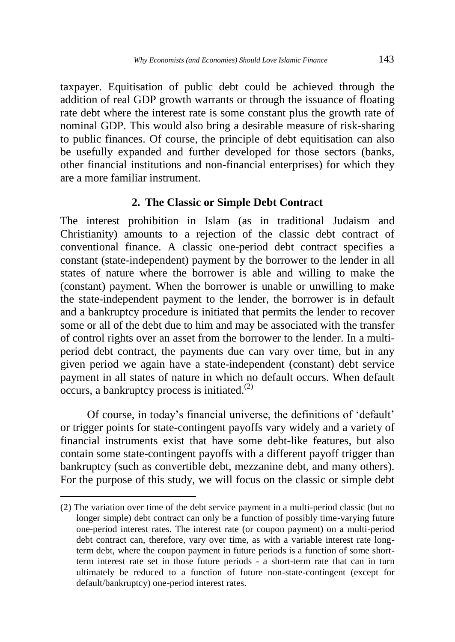taxpayer. Equitisation of public debt could be achieved through the addition of real GDP growth warrants or through the issuance of floating rate debt where the interest rate is some constant plus the growth rate of nominal GDP. This would also bring a desirable measure of risk-sharing to public finances. Of course, the principle of debt equitisation can also be usefully expanded and further developed for those sectors (banks, other financial institutions and non-financial enterprises) for which they are a more familiar instrument.

## **2. The Classic or Simple Debt Contract**

The interest prohibition in Islam (as in traditional Judaism and Christianity) amounts to a rejection of the classic debt contract of conventional finance. A classic one-period debt contract specifies a constant (state-independent) payment by the borrower to the lender in all states of nature where the borrower is able and willing to make the (constant) payment. When the borrower is unable or unwilling to make the state-independent payment to the lender, the borrower is in default and a bankruptcy procedure is initiated that permits the lender to recover some or all of the debt due to him and may be associated with the transfer of control rights over an asset from the borrower to the lender. In a multiperiod debt contract, the payments due can vary over time, but in any given period we again have a state-independent (constant) debt service payment in all states of nature in which no default occurs. When default occurs, a bankruptcy process is initiated. $(2)$ 

Of course, in today's financial universe, the definitions of 'default' or trigger points for state-contingent payoffs vary widely and a variety of financial instruments exist that have some debt-like features, but also contain some state-contingent payoffs with a different payoff trigger than bankruptcy (such as convertible debt, mezzanine debt, and many others). For the purpose of this study, we will focus on the classic or simple debt

 $\ddot{\phantom{a}}$ 

<sup>(2)</sup> The variation over time of the debt service payment in a multi-period classic (but no longer simple) debt contract can only be a function of possibly time-varying future one-period interest rates. The interest rate (or coupon payment) on a multi-period debt contract can, therefore, vary over time, as with a variable interest rate longterm debt, where the coupon payment in future periods is a function of some shortterm interest rate set in those future periods - a short-term rate that can in turn ultimately be reduced to a function of future non-state-contingent (except for default/bankruptcy) one-period interest rates.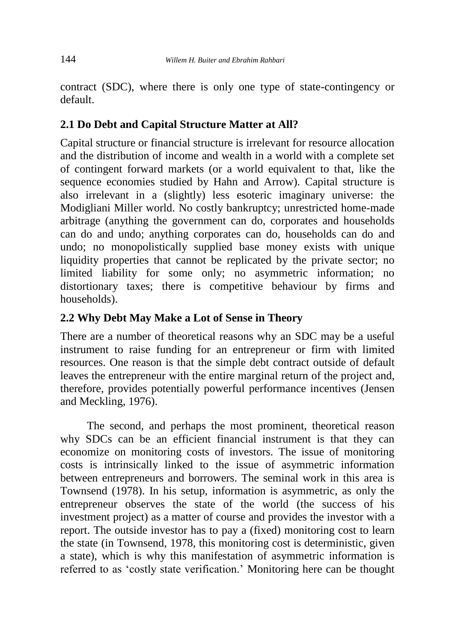contract (SDC), where there is only one type of state-contingency or default.

# **2.1 Do Debt and Capital Structure Matter at All?**

Capital structure or financial structure is irrelevant for resource allocation and the distribution of income and wealth in a world with a complete set of contingent forward markets (or a world equivalent to that, like the sequence economies studied by Hahn and Arrow). Capital structure is also irrelevant in a (slightly) less esoteric imaginary universe: the Modigliani Miller world. No costly bankruptcy; unrestricted home-made arbitrage (anything the government can do, corporates and households can do and undo; anything corporates can do, households can do and undo; no monopolistically supplied base money exists with unique liquidity properties that cannot be replicated by the private sector; no limited liability for some only; no asymmetric information; no distortionary taxes; there is competitive behaviour by firms and households).

# **2.2 Why Debt May Make a Lot of Sense in Theory**

There are a number of theoretical reasons why an SDC may be a useful instrument to raise funding for an entrepreneur or firm with limited resources. One reason is that the simple debt contract outside of default leaves the entrepreneur with the entire marginal return of the project and, therefore, provides potentially powerful performance incentives (Jensen and Meckling, 1976).

The second, and perhaps the most prominent, theoretical reason why SDCs can be an efficient financial instrument is that they can economize on monitoring costs of investors. The issue of monitoring costs is intrinsically linked to the issue of asymmetric information between entrepreneurs and borrowers. The seminal work in this area is Townsend (1978). In his setup, information is asymmetric, as only the entrepreneur observes the state of the world (the success of his investment project) as a matter of course and provides the investor with a report. The outside investor has to pay a (fixed) monitoring cost to learn the state (in Townsend, 1978, this monitoring cost is deterministic, given a state), which is why this manifestation of asymmetric information is referred to as 'costly state verification.' Monitoring here can be thought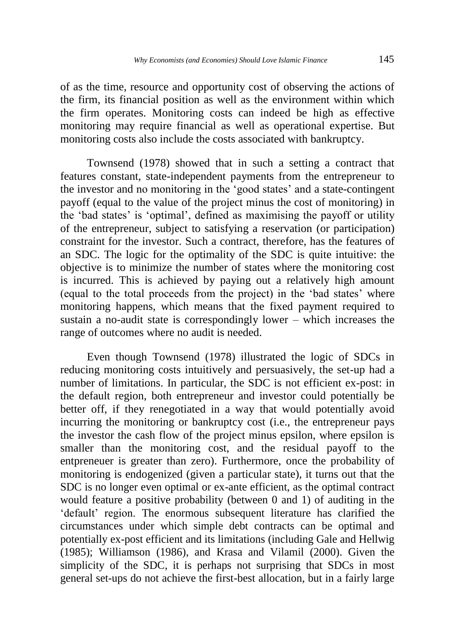of as the time, resource and opportunity cost of observing the actions of the firm, its financial position as well as the environment within which the firm operates. Monitoring costs can indeed be high as effective monitoring may require financial as well as operational expertise. But monitoring costs also include the costs associated with bankruptcy.

Townsend (1978) showed that in such a setting a contract that features constant, state-independent payments from the entrepreneur to the investor and no monitoring in the 'good states' and a state-contingent payoff (equal to the value of the project minus the cost of monitoring) in the 'bad states' is 'optimal', defined as maximising the payoff or utility of the entrepreneur, subject to satisfying a reservation (or participation) constraint for the investor. Such a contract, therefore, has the features of an SDC. The logic for the optimality of the SDC is quite intuitive: the objective is to minimize the number of states where the monitoring cost is incurred. This is achieved by paying out a relatively high amount (equal to the total proceeds from the project) in the 'bad states' where monitoring happens, which means that the fixed payment required to sustain a no-audit state is correspondingly lower – which increases the range of outcomes where no audit is needed.

Even though Townsend (1978) illustrated the logic of SDCs in reducing monitoring costs intuitively and persuasively, the set-up had a number of limitations. In particular, the SDC is not efficient ex-post: in the default region, both entrepreneur and investor could potentially be better off, if they renegotiated in a way that would potentially avoid incurring the monitoring or bankruptcy cost (i.e., the entrepreneur pays the investor the cash flow of the project minus epsilon, where epsilon is smaller than the monitoring cost, and the residual payoff to the entpreneuer is greater than zero). Furthermore, once the probability of monitoring is endogenized (given a particular state), it turns out that the SDC is no longer even optimal or ex-ante efficient, as the optimal contract would feature a positive probability (between 0 and 1) of auditing in the 'default' region. The enormous subsequent literature has clarified the circumstances under which simple debt contracts can be optimal and potentially ex-post efficient and its limitations (including Gale and Hellwig (1985); Williamson (1986), and Krasa and Vilamil (2000). Given the simplicity of the SDC, it is perhaps not surprising that SDCs in most general set-ups do not achieve the first-best allocation, but in a fairly large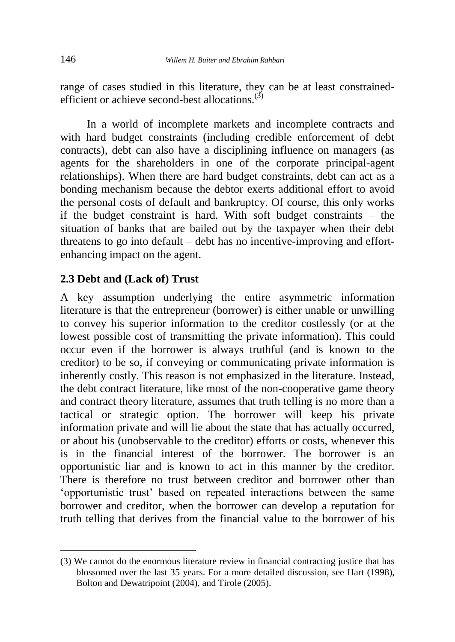range of cases studied in this literature, they can be at least constrainedefficient or achieve second-best allocations.<sup>(3)</sup>

In a world of incomplete markets and incomplete contracts and with hard budget constraints (including credible enforcement of debt contracts), debt can also have a disciplining influence on managers (as agents for the shareholders in one of the corporate principal-agent relationships). When there are hard budget constraints, debt can act as a bonding mechanism because the debtor exerts additional effort to avoid the personal costs of default and bankruptcy. Of course, this only works if the budget constraint is hard. With soft budget constraints – the situation of banks that are bailed out by the taxpayer when their debt threatens to go into default – debt has no incentive-improving and effortenhancing impact on the agent.

# **2.3 Debt and (Lack of) Trust**

A key assumption underlying the entire asymmetric information literature is that the entrepreneur (borrower) is either unable or unwilling to convey his superior information to the creditor costlessly (or at the lowest possible cost of transmitting the private information). This could occur even if the borrower is always truthful (and is known to the creditor) to be so, if conveying or communicating private information is inherently costly. This reason is not emphasized in the literature. Instead, the debt contract literature, like most of the non-cooperative game theory and contract theory literature, assumes that truth telling is no more than a tactical or strategic option. The borrower will keep his private information private and will lie about the state that has actually occurred, or about his (unobservable to the creditor) efforts or costs, whenever this is in the financial interest of the borrower. The borrower is an opportunistic liar and is known to act in this manner by the creditor. There is therefore no trust between creditor and borrower other than 'opportunistic trust' based on repeated interactions between the same borrower and creditor, when the borrower can develop a reputation for truth telling that derives from the financial value to the borrower of his

 $\ddot{\phantom{a}}$ 

<sup>(3)</sup> We cannot do the enormous literature review in financial contracting justice that has blossomed over the last 35 years. For a more detailed discussion, see Hart (1998), Bolton and Dewatripoint (2004), and Tirole (2005).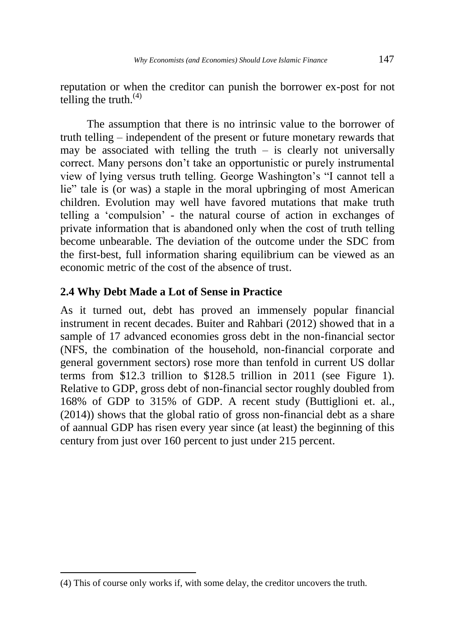reputation or when the creditor can punish the borrower ex-post for not telling the truth. $(4)$ 

The assumption that there is no intrinsic value to the borrower of truth telling – independent of the present or future monetary rewards that may be associated with telling the truth  $-$  is clearly not universally correct. Many persons don't take an opportunistic or purely instrumental view of lying versus truth telling. George Washington's "I cannot tell a lie" tale is (or was) a staple in the moral upbringing of most American children. Evolution may well have favored mutations that make truth telling a 'compulsion' - the natural course of action in exchanges of private information that is abandoned only when the cost of truth telling become unbearable. The deviation of the outcome under the SDC from the first-best, full information sharing equilibrium can be viewed as an economic metric of the cost of the absence of trust.

### **2.4 Why Debt Made a Lot of Sense in Practice**

As it turned out, debt has proved an immensely popular financial instrument in recent decades. Buiter and Rahbari (2012) showed that in a sample of 17 advanced economies gross debt in the non-financial sector (NFS, the combination of the household, non-financial corporate and general government sectors) rose more than tenfold in current US dollar terms from \$12.3 trillion to \$128.5 trillion in 2011 (see Figure 1). Relative to GDP, gross debt of non-financial sector roughly doubled from 168% of GDP to 315% of GDP. A recent study (Buttiglioni et. al., (2014)) shows that the global ratio of gross non-financial debt as a share of aannual GDP has risen every year since (at least) the beginning of this century from just over 160 percent to just under 215 percent.

 $\overline{a}$ 

<sup>(4)</sup> This of course only works if, with some delay, the creditor uncovers the truth.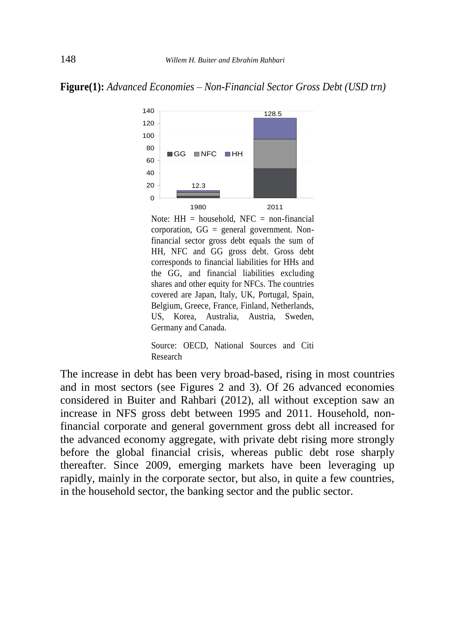



Note:  $HH =$  household, NFC = non-financial corporation,  $GG =$  general government. Nonfinancial sector gross debt equals the sum of HH, NFC and GG gross debt. Gross debt corresponds to financial liabilities for HHs and the GG, and financial liabilities excluding shares and other equity for NFCs. The countries covered are Japan, Italy, UK, Portugal, Spain, Belgium, Greece, France, Finland, Netherlands, US, Korea, Australia, Austria, Sweden, Germany and Canada.

Source: OECD, National Sources and Citi Research

The increase in debt has been very broad-based, rising in most countries and in most sectors (see Figures 2 and 3). Of 26 advanced economies considered in Buiter and Rahbari (2012), all without exception saw an increase in NFS gross debt between 1995 and 2011. Household, nonfinancial corporate and general government gross debt all increased for the advanced economy aggregate, with private debt rising more strongly before the global financial crisis, whereas public debt rose sharply thereafter. Since 2009, emerging markets have been leveraging up rapidly, mainly in the corporate sector, but also, in quite a few countries, in the household sector, the banking sector and the public sector.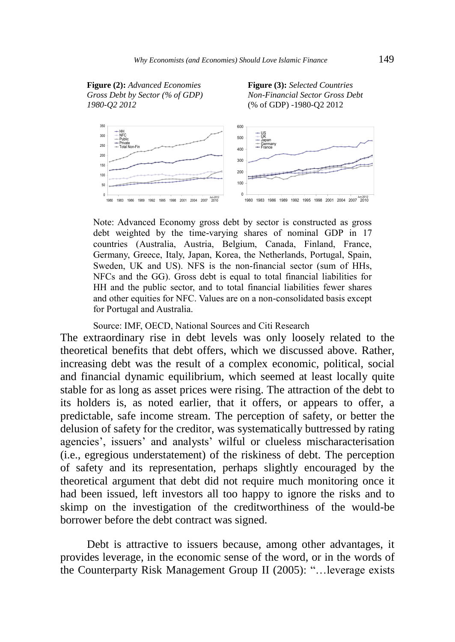





Note: Advanced Economy gross debt by sector is constructed as gross debt weighted by the time-varying shares of nominal GDP in 17 countries (Australia, Austria, Belgium, Canada, Finland, France, Germany, Greece, Italy, Japan, Korea, the Netherlands, Portugal, Spain, Sweden, UK and US). NFS is the non-financial sector (sum of HHs, NFCs and the GG). Gross debt is equal to total financial liabilities for HH and the public sector, and to total financial liabilities fewer shares and other equities for NFC. Values are on a non-consolidated basis except for Portugal and Australia.

#### Source: IMF, OECD, National Sources and Citi Research

The extraordinary rise in debt levels was only loosely related to the theoretical benefits that debt offers, which we discussed above. Rather, increasing debt was the result of a complex economic, political, social and financial dynamic equilibrium, which seemed at least locally quite stable for as long as asset prices were rising. The attraction of the debt to its holders is, as noted earlier, that it offers, or appears to offer, a predictable, safe income stream. The perception of safety, or better the delusion of safety for the creditor, was systematically buttressed by rating agencies', issuers' and analysts' wilful or clueless mischaracterisation (i.e., egregious understatement) of the riskiness of debt. The perception of safety and its representation, perhaps slightly encouraged by the theoretical argument that debt did not require much monitoring once it had been issued, left investors all too happy to ignore the risks and to skimp on the investigation of the creditworthiness of the would-be borrower before the debt contract was signed.

Debt is attractive to issuers because, among other advantages, it provides leverage, in the economic sense of the word, or in the words of the Counterparty Risk Management Group II (2005): "…leverage exists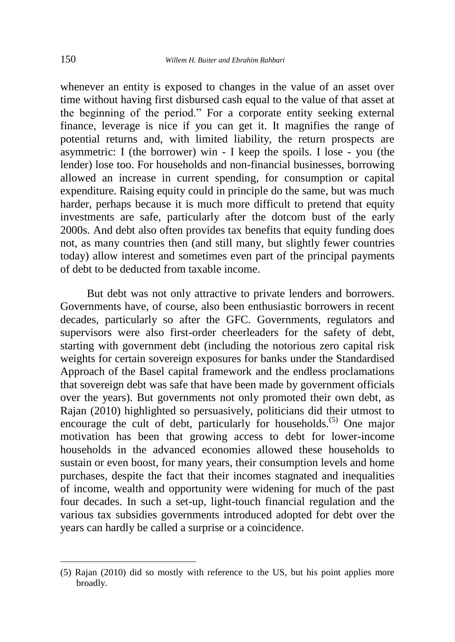whenever an entity is exposed to changes in the value of an asset over time without having first disbursed cash equal to the value of that asset at the beginning of the period." For a corporate entity seeking external finance, leverage is nice if you can get it. It magnifies the range of potential returns and, with limited liability, the return prospects are asymmetric: I (the borrower) win - I keep the spoils. I lose - you (the lender) lose too. For households and non-financial businesses, borrowing allowed an increase in current spending, for consumption or capital expenditure. Raising equity could in principle do the same, but was much harder, perhaps because it is much more difficult to pretend that equity investments are safe, particularly after the dotcom bust of the early 2000s. And debt also often provides tax benefits that equity funding does not, as many countries then (and still many, but slightly fewer countries today) allow interest and sometimes even part of the principal payments of debt to be deducted from taxable income.

But debt was not only attractive to private lenders and borrowers. Governments have, of course, also been enthusiastic borrowers in recent decades, particularly so after the GFC. Governments, regulators and supervisors were also first-order cheerleaders for the safety of debt, starting with government debt (including the notorious zero capital risk weights for certain sovereign exposures for banks under the Standardised Approach of the Basel capital framework and the endless proclamations that sovereign debt was safe that have been made by government officials over the years). But governments not only promoted their own debt, as Rajan (2010) highlighted so persuasively, politicians did their utmost to encourage the cult of debt, particularly for households.<sup>(5)</sup> One major motivation has been that growing access to debt for lower-income households in the advanced economies allowed these households to sustain or even boost, for many years, their consumption levels and home purchases, despite the fact that their incomes stagnated and inequalities of income, wealth and opportunity were widening for much of the past four decades. In such a set-up, light-touch financial regulation and the various tax subsidies governments introduced adopted for debt over the years can hardly be called a surprise or a coincidence.

 $\overline{a}$ 

<sup>(5)</sup> Rajan (2010) did so mostly with reference to the US, but his point applies more broadly.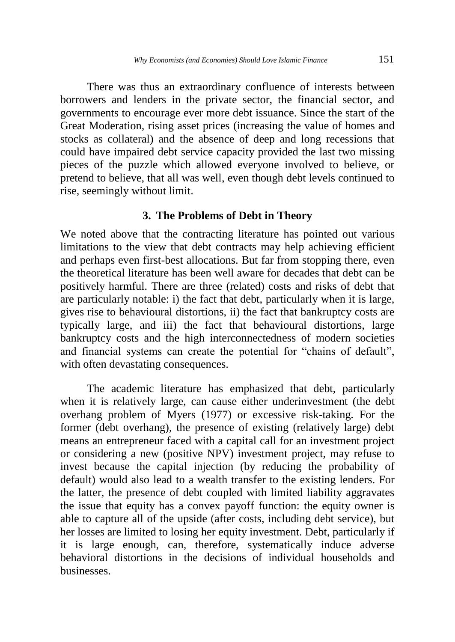There was thus an extraordinary confluence of interests between borrowers and lenders in the private sector, the financial sector, and governments to encourage ever more debt issuance. Since the start of the Great Moderation, rising asset prices (increasing the value of homes and stocks as collateral) and the absence of deep and long recessions that could have impaired debt service capacity provided the last two missing pieces of the puzzle which allowed everyone involved to believe, or pretend to believe, that all was well, even though debt levels continued to rise, seemingly without limit.

#### **3. The Problems of Debt in Theory**

We noted above that the contracting literature has pointed out various limitations to the view that debt contracts may help achieving efficient and perhaps even first-best allocations. But far from stopping there, even the theoretical literature has been well aware for decades that debt can be positively harmful. There are three (related) costs and risks of debt that are particularly notable: i) the fact that debt, particularly when it is large, gives rise to behavioural distortions, ii) the fact that bankruptcy costs are typically large, and iii) the fact that behavioural distortions, large bankruptcy costs and the high interconnectedness of modern societies and financial systems can create the potential for "chains of default", with often devastating consequences.

The academic literature has emphasized that debt, particularly when it is relatively large, can cause either underinvestment (the debt overhang problem of Myers (1977) or excessive risk-taking. For the former (debt overhang), the presence of existing (relatively large) debt means an entrepreneur faced with a capital call for an investment project or considering a new (positive NPV) investment project, may refuse to invest because the capital injection (by reducing the probability of default) would also lead to a wealth transfer to the existing lenders. For the latter, the presence of debt coupled with limited liability aggravates the issue that equity has a convex payoff function: the equity owner is able to capture all of the upside (after costs, including debt service), but her losses are limited to losing her equity investment. Debt, particularly if it is large enough, can, therefore, systematically induce adverse behavioral distortions in the decisions of individual households and businesses.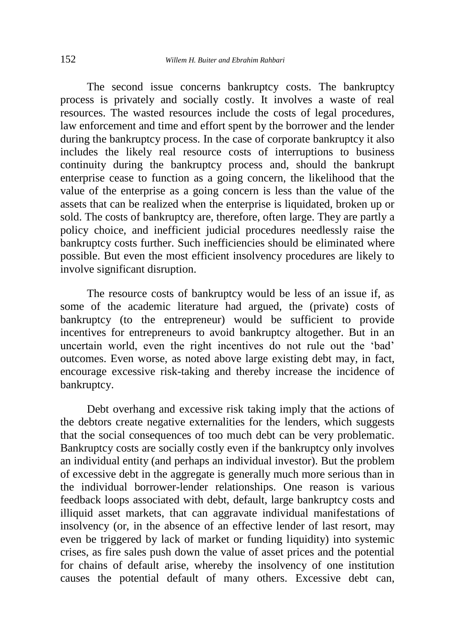The second issue concerns bankruptcy costs. The bankruptcy process is privately and socially costly. It involves a waste of real resources. The wasted resources include the costs of legal procedures, law enforcement and time and effort spent by the borrower and the lender during the bankruptcy process. In the case of corporate bankruptcy it also includes the likely real resource costs of interruptions to business continuity during the bankruptcy process and, should the bankrupt enterprise cease to function as a going concern, the likelihood that the value of the enterprise as a going concern is less than the value of the assets that can be realized when the enterprise is liquidated, broken up or sold. The costs of bankruptcy are, therefore, often large. They are partly a policy choice, and inefficient judicial procedures needlessly raise the bankruptcy costs further. Such inefficiencies should be eliminated where possible. But even the most efficient insolvency procedures are likely to involve significant disruption.

The resource costs of bankruptcy would be less of an issue if, as some of the academic literature had argued, the (private) costs of bankruptcy (to the entrepreneur) would be sufficient to provide incentives for entrepreneurs to avoid bankruptcy altogether. But in an uncertain world, even the right incentives do not rule out the 'bad' outcomes. Even worse, as noted above large existing debt may, in fact, encourage excessive risk-taking and thereby increase the incidence of bankruptcy.

Debt overhang and excessive risk taking imply that the actions of the debtors create negative externalities for the lenders, which suggests that the social consequences of too much debt can be very problematic. Bankruptcy costs are socially costly even if the bankruptcy only involves an individual entity (and perhaps an individual investor). But the problem of excessive debt in the aggregate is generally much more serious than in the individual borrower-lender relationships. One reason is various feedback loops associated with debt, default, large bankruptcy costs and illiquid asset markets, that can aggravate individual manifestations of insolvency (or, in the absence of an effective lender of last resort, may even be triggered by lack of market or funding liquidity) into systemic crises, as fire sales push down the value of asset prices and the potential for chains of default arise, whereby the insolvency of one institution causes the potential default of many others. Excessive debt can,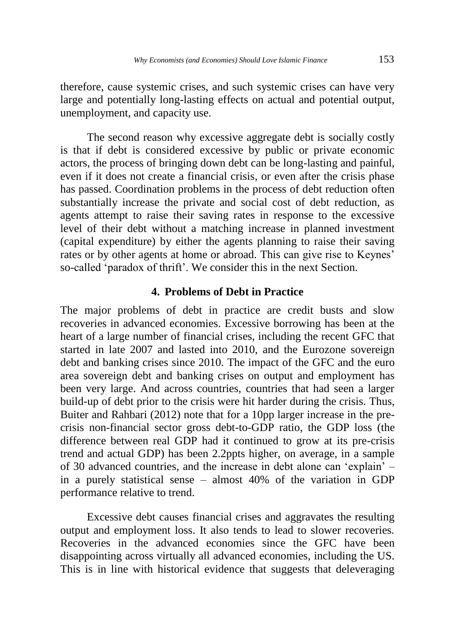therefore, cause systemic crises, and such systemic crises can have very large and potentially long-lasting effects on actual and potential output, unemployment, and capacity use.

The second reason why excessive aggregate debt is socially costly is that if debt is considered excessive by public or private economic actors, the process of bringing down debt can be long-lasting and painful, even if it does not create a financial crisis, or even after the crisis phase has passed. Coordination problems in the process of debt reduction often substantially increase the private and social cost of debt reduction, as agents attempt to raise their saving rates in response to the excessive level of their debt without a matching increase in planned investment (capital expenditure) by either the agents planning to raise their saving rates or by other agents at home or abroad. This can give rise to Keynes' so-called 'paradox of thrift'. We consider this in the next Section.

#### **4. Problems of Debt in Practice**

The major problems of debt in practice are credit busts and slow recoveries in advanced economies. Excessive borrowing has been at the heart of a large number of financial crises, including the recent GFC that started in late 2007 and lasted into 2010, and the Eurozone sovereign debt and banking crises since 2010. The impact of the GFC and the euro area sovereign debt and banking crises on output and employment has been very large. And across countries, countries that had seen a larger build-up of debt prior to the crisis were hit harder during the crisis. Thus, Buiter and Rahbari (2012) note that for a 10pp larger increase in the precrisis non-financial sector gross debt-to-GDP ratio, the GDP loss (the difference between real GDP had it continued to grow at its pre-crisis trend and actual GDP) has been 2.2ppts higher, on average, in a sample of 30 advanced countries, and the increase in debt alone can 'explain' – in a purely statistical sense – almost 40% of the variation in GDP performance relative to trend.

Excessive debt causes financial crises and aggravates the resulting output and employment loss. It also tends to lead to slower recoveries. Recoveries in the advanced economies since the GFC have been disappointing across virtually all advanced economies, including the US. This is in line with historical evidence that suggests that deleveraging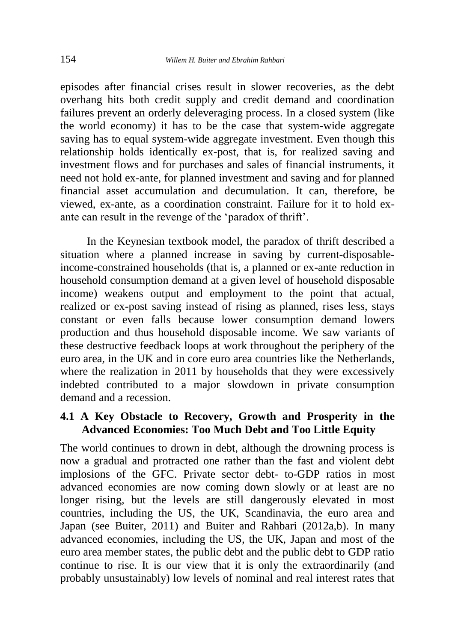episodes after financial crises result in slower recoveries, as the debt overhang hits both credit supply and credit demand and coordination failures prevent an orderly deleveraging process. In a closed system (like the world economy) it has to be the case that system-wide aggregate saving has to equal system-wide aggregate investment. Even though this relationship holds identically ex-post, that is, for realized saving and investment flows and for purchases and sales of financial instruments, it need not hold ex-ante, for planned investment and saving and for planned financial asset accumulation and decumulation. It can, therefore, be viewed, ex-ante, as a coordination constraint. Failure for it to hold exante can result in the revenge of the 'paradox of thrift'.

In the Keynesian textbook model, the paradox of thrift described a situation where a planned increase in saving by current-disposableincome-constrained households (that is, a planned or ex-ante reduction in household consumption demand at a given level of household disposable income) weakens output and employment to the point that actual, realized or ex-post saving instead of rising as planned, rises less, stays constant or even falls because lower consumption demand lowers production and thus household disposable income. We saw variants of these destructive feedback loops at work throughout the periphery of the euro area, in the UK and in core euro area countries like the Netherlands, where the realization in 2011 by households that they were excessively indebted contributed to a major slowdown in private consumption demand and a recession.

# **4.1 A Key Obstacle to Recovery, Growth and Prosperity in the Advanced Economies: Too Much Debt and Too Little Equity**

The world continues to drown in debt, although the drowning process is now a gradual and protracted one rather than the fast and violent debt implosions of the GFC. Private sector debt- to-GDP ratios in most advanced economies are now coming down slowly or at least are no longer rising, but the levels are still dangerously elevated in most countries, including the US, the UK, Scandinavia, the euro area and Japan (see Buiter, 2011) and Buiter and Rahbari (2012a,b). In many advanced economies, including the US, the UK, Japan and most of the euro area member states, the public debt and the public debt to GDP ratio continue to rise. It is our view that it is only the extraordinarily (and probably unsustainably) low levels of nominal and real interest rates that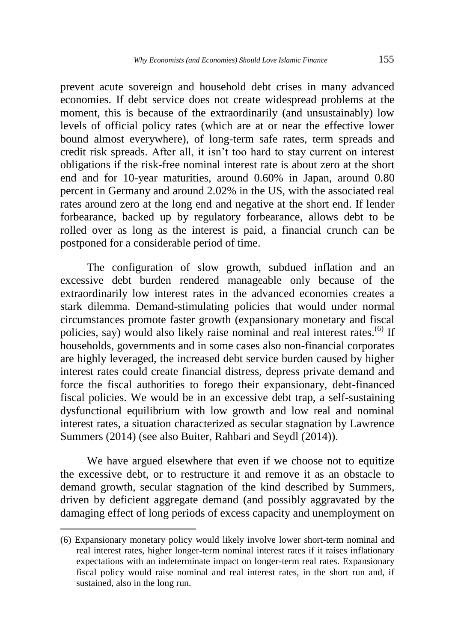prevent acute sovereign and household debt crises in many advanced economies. If debt service does not create widespread problems at the moment, this is because of the extraordinarily (and unsustainably) low levels of official policy rates (which are at or near the effective lower bound almost everywhere), of long-term safe rates, term spreads and credit risk spreads. After all, it isn't too hard to stay current on interest obligations if the risk-free nominal interest rate is about zero at the short end and for 10-year maturities, around 0.60% in Japan, around 0.80 percent in Germany and around 2.02% in the US, with the associated real rates around zero at the long end and negative at the short end. If lender forbearance, backed up by regulatory forbearance, allows debt to be rolled over as long as the interest is paid, a financial crunch can be postponed for a considerable period of time.

The configuration of slow growth, subdued inflation and an excessive debt burden rendered manageable only because of the extraordinarily low interest rates in the advanced economies creates a stark dilemma. Demand-stimulating policies that would under normal circumstances promote faster growth (expansionary monetary and fiscal policies, say) would also likely raise nominal and real interest rates.<sup>(6)</sup> If households, governments and in some cases also non-financial corporates are highly leveraged, the increased debt service burden caused by higher interest rates could create financial distress, depress private demand and force the fiscal authorities to forego their expansionary, debt-financed fiscal policies. We would be in an excessive debt trap, a self-sustaining dysfunctional equilibrium with low growth and low real and nominal interest rates, a situation characterized as secular stagnation by Lawrence Summers (2014) (see also Buiter, Rahbari and Seydl (2014)).

We have argued elsewhere that even if we choose not to equitize the excessive debt, or to restructure it and remove it as an obstacle to demand growth, secular stagnation of the kind described by Summers, driven by deficient aggregate demand (and possibly aggravated by the damaging effect of long periods of excess capacity and unemployment on

<sup>(6)</sup> Expansionary monetary policy would likely involve lower short-term nominal and real interest rates, higher longer-term nominal interest rates if it raises inflationary expectations with an indeterminate impact on longer-term real rates. Expansionary fiscal policy would raise nominal and real interest rates, in the short run and, if sustained, also in the long run.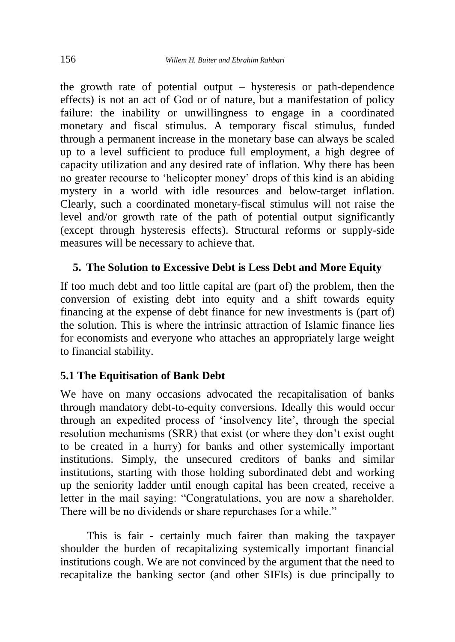the growth rate of potential output – hysteresis or path-dependence effects) is not an act of God or of nature, but a manifestation of policy failure: the inability or unwillingness to engage in a coordinated monetary and fiscal stimulus. A temporary fiscal stimulus, funded through a permanent increase in the monetary base can always be scaled up to a level sufficient to produce full employment, a high degree of capacity utilization and any desired rate of inflation. Why there has been no greater recourse to 'helicopter money' drops of this kind is an abiding mystery in a world with idle resources and below-target inflation. Clearly, such a coordinated monetary-fiscal stimulus will not raise the level and/or growth rate of the path of potential output significantly (except through hysteresis effects). Structural reforms or supply-side measures will be necessary to achieve that.

# **5. The Solution to Excessive Debt is Less Debt and More Equity**

If too much debt and too little capital are (part of) the problem, then the conversion of existing debt into equity and a shift towards equity financing at the expense of debt finance for new investments is (part of) the solution. This is where the intrinsic attraction of Islamic finance lies for economists and everyone who attaches an appropriately large weight to financial stability.

# **5.1 The Equitisation of Bank Debt**

We have on many occasions advocated the recapitalisation of banks through mandatory debt-to-equity conversions. Ideally this would occur through an expedited process of 'insolvency lite', through the special resolution mechanisms (SRR) that exist (or where they don't exist ought to be created in a hurry) for banks and other systemically important institutions. Simply, the unsecured creditors of banks and similar institutions, starting with those holding subordinated debt and working up the seniority ladder until enough capital has been created, receive a letter in the mail saying: "Congratulations, you are now a shareholder. There will be no dividends or share repurchases for a while."

This is fair - certainly much fairer than making the taxpayer shoulder the burden of recapitalizing systemically important financial institutions cough. We are not convinced by the argument that the need to recapitalize the banking sector (and other SIFIs) is due principally to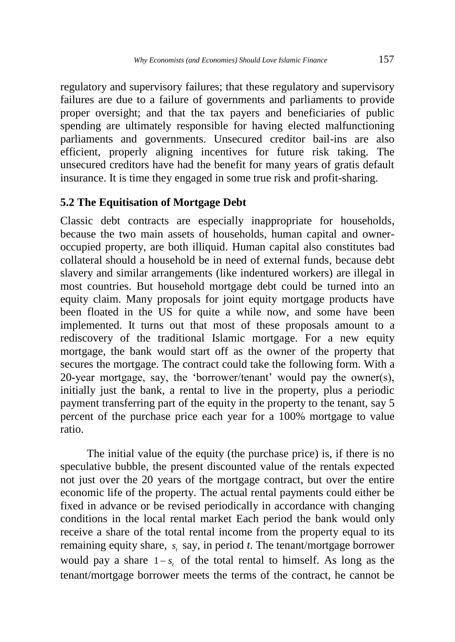regulatory and supervisory failures; that these regulatory and supervisory failures are due to a failure of governments and parliaments to provide proper oversight; and that the tax payers and beneficiaries of public spending are ultimately responsible for having elected malfunctioning parliaments and governments. Unsecured creditor bail-ins are also efficient, properly aligning incentives for future risk taking. The unsecured creditors have had the benefit for many years of gratis default insurance. It is time they engaged in some true risk and profit-sharing.

# **5.2 The Equitisation of Mortgage Debt**

Classic debt contracts are especially inappropriate for households, because the two main assets of households, human capital and owneroccupied property, are both illiquid. Human capital also constitutes bad collateral should a household be in need of external funds, because debt slavery and similar arrangements (like indentured workers) are illegal in most countries. But household mortgage debt could be turned into an equity claim. Many proposals for joint equity mortgage products have been floated in the US for quite a while now, and some have been implemented. It turns out that most of these proposals amount to a rediscovery of the traditional Islamic mortgage. For a new equity mortgage, the bank would start off as the owner of the property that secures the mortgage. The contract could take the following form. With a 20-year mortgage, say, the 'borrower/tenant' would pay the owner(s), initially just the bank, a rental to live in the property, plus a periodic payment transferring part of the equity in the property to the tenant, say 5 percent of the purchase price each year for a 100% mortgage to value ratio.

The initial value of the equity (the purchase price) is, if there is no speculative bubble, the present discounted value of the rentals expected not just over the 20 years of the mortgage contract, but over the entire economic life of the property. The actual rental payments could either be fixed in advance or be revised periodically in accordance with changing conditions in the local rental market Each period the bank would only receive a share of the total rental income from the property equal to its remaining equity share,  $s_t$  say, in period  $t$ . The tenant/mortgage borrower would pay a share  $1 - s_t$  of the total rental to himself. As long as the tenant/mortgage borrower meets the terms of the contract, he cannot be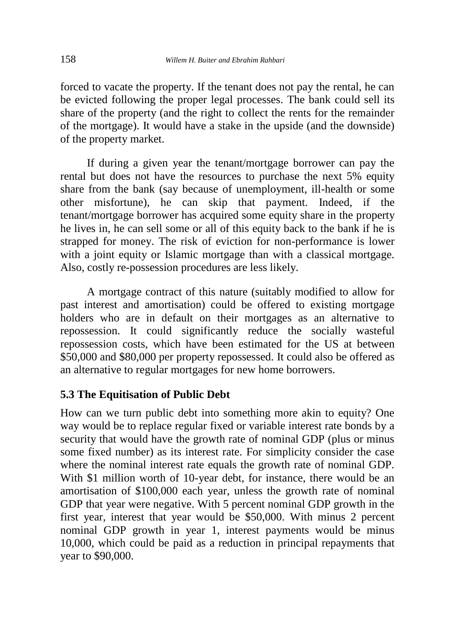forced to vacate the property. If the tenant does not pay the rental, he can be evicted following the proper legal processes. The bank could sell its share of the property (and the right to collect the rents for the remainder of the mortgage). It would have a stake in the upside (and the downside) of the property market.

If during a given year the tenant/mortgage borrower can pay the rental but does not have the resources to purchase the next 5% equity share from the bank (say because of unemployment, ill-health or some other misfortune), he can skip that payment. Indeed, if the tenant/mortgage borrower has acquired some equity share in the property he lives in, he can sell some or all of this equity back to the bank if he is strapped for money. The risk of eviction for non-performance is lower with a joint equity or Islamic mortgage than with a classical mortgage. Also, costly re-possession procedures are less likely.

A mortgage contract of this nature (suitably modified to allow for past interest and amortisation) could be offered to existing mortgage holders who are in default on their mortgages as an alternative to repossession. It could significantly reduce the socially wasteful repossession costs, which have been estimated for the US at between \$50,000 and \$80,000 per property repossessed. It could also be offered as an alternative to regular mortgages for new home borrowers.

# **5.3 The Equitisation of Public Debt**

How can we turn public debt into something more akin to equity? One way would be to replace regular fixed or variable interest rate bonds by a security that would have the growth rate of nominal GDP (plus or minus some fixed number) as its interest rate. For simplicity consider the case where the nominal interest rate equals the growth rate of nominal GDP. With \$1 million worth of 10-year debt, for instance, there would be an amortisation of \$100,000 each year, unless the growth rate of nominal GDP that year were negative. With 5 percent nominal GDP growth in the first year, interest that year would be \$50,000. With minus 2 percent nominal GDP growth in year 1, interest payments would be minus 10,000, which could be paid as a reduction in principal repayments that year to \$90,000.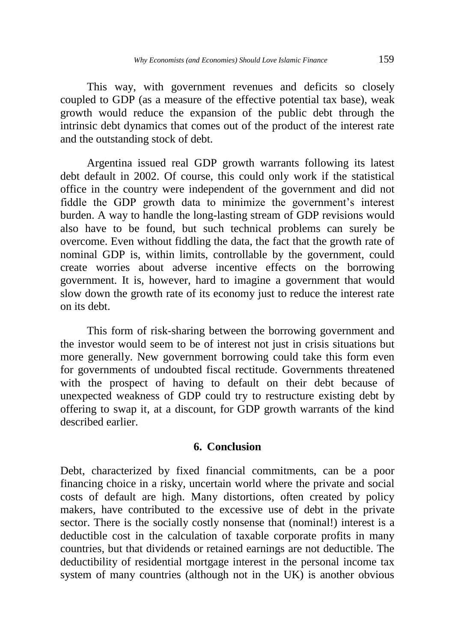This way, with government revenues and deficits so closely coupled to GDP (as a measure of the effective potential tax base), weak growth would reduce the expansion of the public debt through the intrinsic debt dynamics that comes out of the product of the interest rate and the outstanding stock of debt.

Argentina issued real GDP growth warrants following its latest debt default in 2002. Of course, this could only work if the statistical office in the country were independent of the government and did not fiddle the GDP growth data to minimize the government's interest burden. A way to handle the long-lasting stream of GDP revisions would also have to be found, but such technical problems can surely be overcome. Even without fiddling the data, the fact that the growth rate of nominal GDP is, within limits, controllable by the government, could create worries about adverse incentive effects on the borrowing government. It is, however, hard to imagine a government that would slow down the growth rate of its economy just to reduce the interest rate on its debt.

This form of risk-sharing between the borrowing government and the investor would seem to be of interest not just in crisis situations but more generally. New government borrowing could take this form even for governments of undoubted fiscal rectitude. Governments threatened with the prospect of having to default on their debt because of unexpected weakness of GDP could try to restructure existing debt by offering to swap it, at a discount, for GDP growth warrants of the kind described earlier.

#### **6. Conclusion**

Debt, characterized by fixed financial commitments, can be a poor financing choice in a risky, uncertain world where the private and social costs of default are high. Many distortions, often created by policy makers, have contributed to the excessive use of debt in the private sector. There is the socially costly nonsense that (nominal!) interest is a deductible cost in the calculation of taxable corporate profits in many countries, but that dividends or retained earnings are not deductible. The deductibility of residential mortgage interest in the personal income tax system of many countries (although not in the UK) is another obvious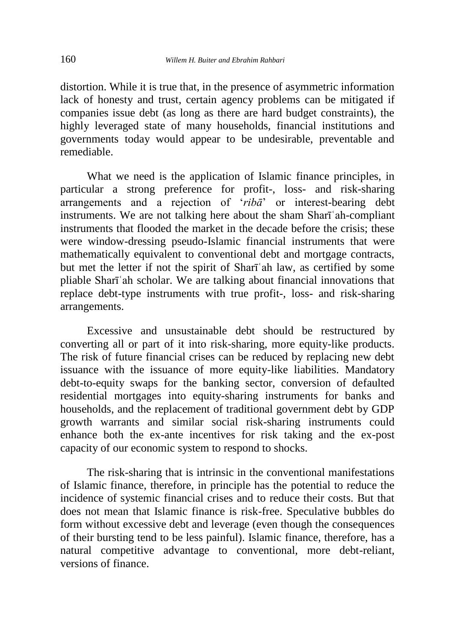distortion. While it is true that, in the presence of asymmetric information lack of honesty and trust, certain agency problems can be mitigated if companies issue debt (as long as there are hard budget constraints), the highly leveraged state of many households, financial institutions and governments today would appear to be undesirable, preventable and remediable.

What we need is the application of Islamic finance principles, in particular a strong preference for profit-, loss- and risk-sharing arrangements and a rejection of '*ribā*' or interest-bearing debt instruments. We are not talking here about the sham Sharīʿah-compliant instruments that flooded the market in the decade before the crisis; these were window-dressing pseudo-Islamic financial instruments that were mathematically equivalent to conventional debt and mortgage contracts, but met the letter if not the spirit of Sharīʿah law, as certified by some pliable Sharīʿah scholar. We are talking about financial innovations that replace debt-type instruments with true profit-, loss- and risk-sharing arrangements.

Excessive and unsustainable debt should be restructured by converting all or part of it into risk-sharing, more equity-like products. The risk of future financial crises can be reduced by replacing new debt issuance with the issuance of more equity-like liabilities. Mandatory debt-to-equity swaps for the banking sector, conversion of defaulted residential mortgages into equity-sharing instruments for banks and households, and the replacement of traditional government debt by GDP growth warrants and similar social risk-sharing instruments could enhance both the ex-ante incentives for risk taking and the ex-post capacity of our economic system to respond to shocks.

The risk-sharing that is intrinsic in the conventional manifestations of Islamic finance, therefore, in principle has the potential to reduce the incidence of systemic financial crises and to reduce their costs. But that does not mean that Islamic finance is risk-free. Speculative bubbles do form without excessive debt and leverage (even though the consequences of their bursting tend to be less painful). Islamic finance, therefore, has a natural competitive advantage to conventional, more debt-reliant, versions of finance.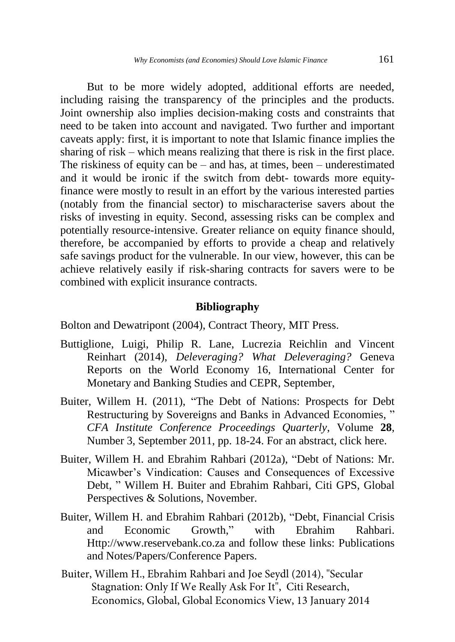But to be more widely adopted, additional efforts are needed, including raising the transparency of the principles and the products. Joint ownership also implies decision-making costs and constraints that need to be taken into account and navigated. Two further and important caveats apply: first, it is important to note that Islamic finance implies the sharing of risk – which means realizing that there is risk in the first place. The riskiness of equity can be – and has, at times, been – underestimated and it would be ironic if the switch from debt- towards more equityfinance were mostly to result in an effort by the various interested parties (notably from the financial sector) to mischaracterise savers about the risks of investing in equity. Second, assessing risks can be complex and potentially resource-intensive. Greater reliance on equity finance should, therefore, be accompanied by efforts to provide a cheap and relatively safe savings product for the vulnerable. In our view, however, this can be achieve relatively easily if risk-sharing contracts for savers were to be combined with explicit insurance contracts.

#### **Bibliography**

Bolton and Dewatripont (2004), Contract Theory, MIT Press.

- Buttiglione, Luigi, Philip R. Lane, Lucrezia Reichlin and Vincent Reinhart (2014), *Deleveraging? What Deleveraging?* Geneva Reports on the World Economy 16, International Center for Monetary and Banking Studies and CEPR, September,
- Buiter, Willem H. (2011), ["The Debt of Nations: Prospects for Debt](http://willembuiter.com/doncfa.pdf)  [Restructuring by Sovereigns and Banks in Advanced Economies,](http://willembuiter.com/doncfa.pdf) " *CFA Institute Conference Proceedings Quarterly*, Volume **28**, Number 3, September 2011, pp. 18-24. For an abstract, click [here.](http://willembuiter.com/doncfaabstract.pdf)
- Buiter, Willem H. and Ebrahim Rahbari (2012a), ["Debt of Nations: Mr.](http://willembuiter.com/$Citi60.pdf$)  [Micawber's Vindication: Causes and Consequences of Excessive](http://willembuiter.com/$Citi60.pdf$)  [Debt,](http://willembuiter.com/$Citi60.pdf$) " Willem H. Buiter and Ebrahim Rahbari, Citi GPS, Global Perspectives & Solutions, November.
- Buiter, Willem H. and Ebrahim Rahbari (2012b), ["Debt, Financial Crisis](http://willembuiter.com/sa.pdf)  [and Economic Growth,](http://willembuiter.com/sa.pdf)" with Ebrahim Rahbari. Http://www.reservebank.co.za and follow these links: Publications and Notes/Papers/Conference Papers.
- Buiter, Willem H., Ebrahim Rahbari and Joe Seydl (2014), "Secular Stagnation: Only If We Really Ask For It", Citi Research, Economics, Global, Global Economics View, 13 January 2014